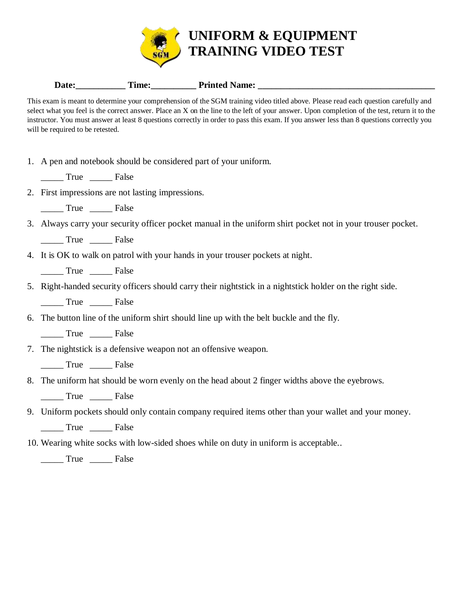

| Printed<br>Name:<br>Date:<br>time: |
|------------------------------------|
|------------------------------------|

This exam is meant to determine your comprehension of the SGM training video titled above. Please read each question carefully and select what you feel is the correct answer. Place an X on the line to the left of your answer. Upon completion of the test, return it to the instructor. You must answer at least 8 questions correctly in order to pass this exam. If you answer less than 8 questions correctly you will be required to be retested.

- 1. A pen and notebook should be considered part of your uniform.
	- True False
- 2. First impressions are not lasting impressions.
	- \_\_\_\_\_ True \_\_\_\_\_ False
- 3. Always carry your security officer pocket manual in the uniform shirt pocket not in your trouser pocket.

\_\_\_\_\_ True \_\_\_\_\_ False

4. It is OK to walk on patrol with your hands in your trouser pockets at night.

\_\_\_\_\_ True \_\_\_\_\_ False

5. Right-handed security officers should carry their nightstick in a nightstick holder on the right side.

\_\_\_\_\_ True \_\_\_\_\_ False

6. The button line of the uniform shirt should line up with the belt buckle and the fly.

True False

7. The nightstick is a defensive weapon not an offensive weapon.

True False

8. The uniform hat should be worn evenly on the head about 2 finger widths above the eyebrows.

\_\_\_\_\_ True \_\_\_\_\_ False

9. Uniform pockets should only contain company required items other than your wallet and your money.

\_\_\_\_\_ True \_\_\_\_\_ False

10. Wearing white socks with low-sided shoes while on duty in uniform is acceptable..

\_\_\_\_\_ True \_\_\_\_\_ False